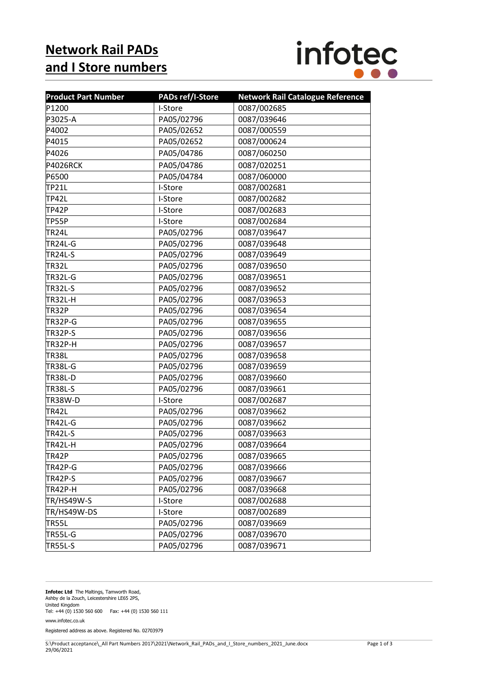## **Network Rail PADs and I Store numbers**



| <b>Product Part Number</b> | <b>PADs ref/I-Store</b> | <b>Network Rail Catalogue Reference</b> |
|----------------------------|-------------------------|-----------------------------------------|
| P1200                      | I-Store                 | 0087/002685                             |
| P3025-A                    | PA05/02796              | 0087/039646                             |
| P4002                      | PA05/02652              | 0087/000559                             |
| P4015                      | PA05/02652              | 0087/000624                             |
| P4026                      | PA05/04786              | 0087/060250                             |
| P4026RCK                   | PA05/04786              | 0087/020251                             |
| P6500                      | PA05/04784              | 0087/060000                             |
| <b>TP21L</b>               | I-Store                 | 0087/002681                             |
| <b>TP42L</b>               | I-Store                 | 0087/002682                             |
| TP42P                      | I-Store                 | 0087/002683                             |
| TP55P                      | I-Store                 | 0087/002684                             |
| TR24L                      | PA05/02796              | 0087/039647                             |
| <b>TR24L-G</b>             | PA05/02796              | 0087/039648                             |
| <b>TR24L-S</b>             | PA05/02796              | 0087/039649                             |
| <b>TR32L</b>               | PA05/02796              | 0087/039650                             |
| <b>TR32L-G</b>             | PA05/02796              | 0087/039651                             |
| TR32L-S                    | PA05/02796              | 0087/039652                             |
| TR32L-H                    | PA05/02796              | 0087/039653                             |
| TR32P                      | PA05/02796              | 0087/039654                             |
| <b>TR32P-G</b>             | PA05/02796              | 0087/039655                             |
| <b>TR32P-S</b>             | PA05/02796              | 0087/039656                             |
| <b>TR32P-H</b>             | PA05/02796              | 0087/039657                             |
| <b>TR38L</b>               | PA05/02796              | 0087/039658                             |
| <b>TR38L-G</b>             | PA05/02796              | 0087/039659                             |
| <b>TR38L-D</b>             | PA05/02796              | 0087/039660                             |
| <b>TR38L-S</b>             | PA05/02796              | 0087/039661                             |
| TR38W-D                    | I-Store                 | 0087/002687                             |
| <b>TR42L</b>               | PA05/02796              | 0087/039662                             |
| TR42L-G                    | PA05/02796              | 0087/039662                             |
| <b>TR42L-S</b>             | PA05/02796              | 0087/039663                             |
| TR42L-H                    | PA05/02796              | 0087/039664                             |
| TR42P                      | PA05/02796              | 0087/039665                             |
| TR42P-G                    | PA05/02796              | 0087/039666                             |
| <b>TR42P-S</b>             | PA05/02796              | 0087/039667                             |
| <b>TR42P-H</b>             | PA05/02796              | 0087/039668                             |
| TR/HS49W-S                 | I-Store                 | 0087/002688                             |
| TR/HS49W-DS                | I-Store                 | 0087/002689                             |
| <b>TR55L</b>               | PA05/02796              | 0087/039669                             |
| <b>TR55L-G</b>             | PA05/02796              | 0087/039670                             |
| <b>TR55L-S</b>             | PA05/02796              | 0087/039671                             |

**Infotec Ltd** The Maltings, Tamworth Road, Ashby de la Zouch, Leicestershire LE65 2PS, United Kingdom Tel: +44 (0) 1530 560 600 Fax: +44 (0) 1530 560 111 www.infotec.co.uk

Registered address as above. Registered No. 02703979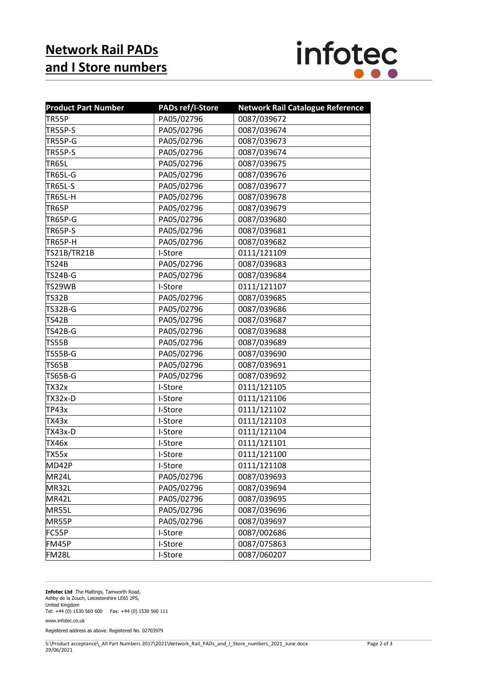## **Network Rail PADs and I Store numbers**



| <b>Product Part Number</b> | <b>PADs ref/I-Store</b> | <b>Network Rail Catalogue Reference</b> |
|----------------------------|-------------------------|-----------------------------------------|
| TR55P                      | PA05/02796              | 0087/039672                             |
| TR55P-S                    | PA05/02796              | 0087/039674                             |
| <b>TR55P-G</b>             | PA05/02796              | 0087/039673                             |
| <b>TR55P-S</b>             | PA05/02796              | 0087/039674                             |
| <b>TR65L</b>               | PA05/02796              | 0087/039675                             |
| <b>TR65L-G</b>             | PA05/02796              | 0087/039676                             |
| <b>TR65L-S</b>             | PA05/02796              | 0087/039677                             |
| <b>TR65L-H</b>             | PA05/02796              | 0087/039678                             |
| TR65P                      | PA05/02796              | 0087/039679                             |
| <b>TR65P-G</b>             | PA05/02796              | 0087/039680                             |
| <b>TR65P-S</b>             | PA05/02796              | 0087/039681                             |
| <b>TR65P-H</b>             | PA05/02796              | 0087/039682                             |
| TS21B/TR21B                | I-Store                 | 0111/121109                             |
| <b>TS24B</b>               | PA05/02796              | 0087/039683                             |
| <b>TS24B-G</b>             | PA05/02796              | 0087/039684                             |
| TS29WB                     | I-Store                 | 0111/121107                             |
| <b>TS32B</b>               | PA05/02796              | 0087/039685                             |
| <b>TS32B-G</b>             | PA05/02796              | 0087/039686                             |
| TS42B                      | PA05/02796              | 0087/039687                             |
| <b>TS42B-G</b>             | PA05/02796              | 0087/039688                             |
| TS55B                      | PA05/02796              | 0087/039689                             |
| <b>TS55B-G</b>             | PA05/02796              | 0087/039690                             |
| <b>TS65B</b>               | PA05/02796              | 0087/039691                             |
| <b>TS65B-G</b>             | PA05/02796              | 0087/039692                             |
| TX32x                      | I-Store                 | 0111/121105                             |
| <b>TX32x-D</b>             | I-Store                 | 0111/121106                             |
| TP43x                      | I-Store                 | 0111/121102                             |
| TX43x                      | I-Store                 | 0111/121103                             |
| <b>TX43x-D</b>             | I-Store                 | 0111/121104                             |
| <b>TX46x</b>               | I-Store                 | 0111/121101                             |
| <b>TX55x</b>               | I-Store                 | 0111/121100                             |
| MD42P                      | I-Store                 | 0111/121108                             |
| MR24L                      | PA05/02796              | 0087/039693                             |
| MR32L                      | PA05/02796              | 0087/039694                             |
| MR42L                      | PA05/02796              | 0087/039695                             |
| MR55L                      | PA05/02796              | 0087/039696                             |
| MR55P                      | PA05/02796              | 0087/039697                             |
| FC55P                      | I-Store                 | 0087/002686                             |
| FM45P                      | I-Store                 | 0087/075863                             |
| <b>FM28L</b>               | I-Store                 | 0087/060207                             |

**Infotec Ltd** The Maltings, Tamworth Road, Ashby de la Zouch, Leicestershire LE65 2PS,

United Kingdom

Tel: +44 (0) 1530 560 600 Fax: +44 (0) 1530 560 111 www.infotec.co.uk

Registered address as above. Registered No. 02703979